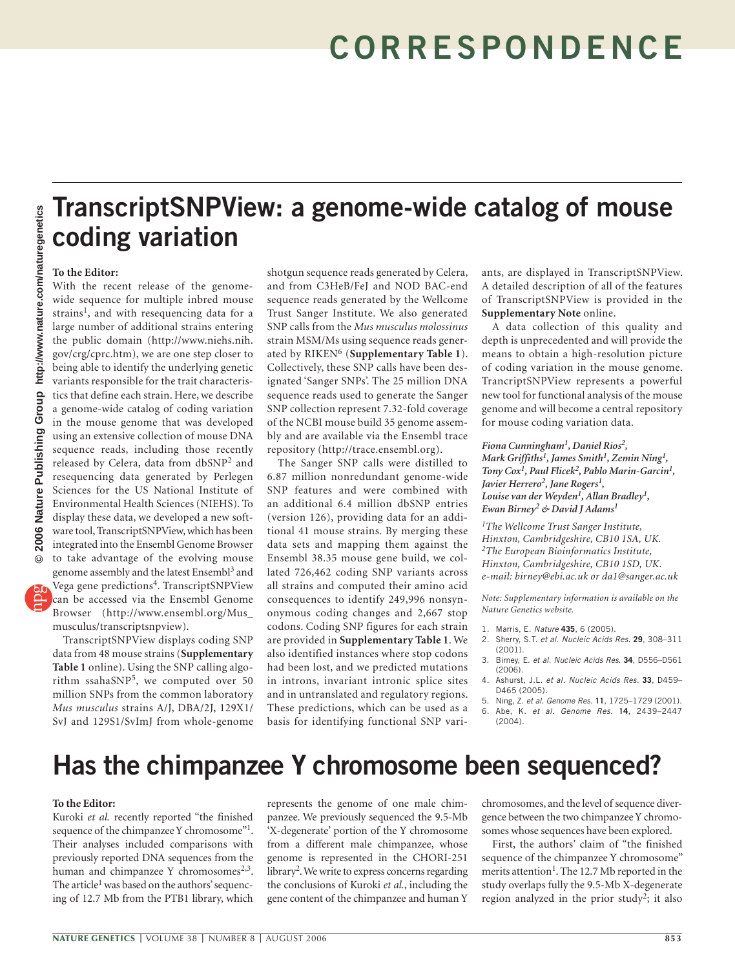# **TranscriptSNPView: a genome-wide catalog of mouse coding variation**

### **To the Editor:**

With the recent release of the genomewide sequence for multiple inbred mouse strains<sup>1</sup>, and with resequencing data for a large number of additional strains entering the public domain (http://www.niehs.nih. gov/crg/cprc.htm), we are one step closer to being able to identify the underlying genetic variants responsible for the trait characteristics that define each strain. Here, we describe a genome-wide catalog of coding variation in the mouse genome that was developed using an extensive collection of mouse DNA sequence reads, including those recently released by Celera, data from dbSNP2 and resequencing data generated by Perlegen Sciences for the US National Institute of Environmental Health Sciences (NIEHS). To display these data, we developed a new software tool, TranscriptSNPView, which has been integrated into the Ensembl Genome Browser to take advantage of the evolving mouse genome assembly and the latest Ensembl<sup>3</sup> and Vega gene predictions4. TranscriptSNPView can be accessed via the Ensembl Genome Browser (http://www.ensembl.org/Mus\_ musculus/transcriptsnpview).

TranscriptSNPView displays coding SNP data from 48 mouse strains (**Supplementary Table 1** online). Using the SNP calling algorithm ssahaSNP5, we computed over 50 million SNPs from the common laboratory *Mus musculus* strains A/J, DBA/2J, 129X1/ SvJ and 129S1/SvImJ from whole-genome

shotgun sequence reads generated by Celera, and from C3HeB/FeJ and NOD BAC-end sequence reads generated by the Wellcome Trust Sanger Institute. We also generated SNP calls from the *Mus musculus molossinus* strain MSM/Ms using sequence reads generated by RIKEN<sup>6</sup> (Supplementary Table 1). Collectively, these SNP calls have been designated 'Sanger SNPs'. The 25 million DNA sequence reads used to generate the Sanger SNP collection represent 7.32-fold coverage of the NCBI mouse build 35 genome assembly and are available via the Ensembl trace repository (http://trace.ensembl.org).

The Sanger SNP calls were distilled to 6.87 million nonredundant genome-wide SNP features and were combined with an additional 6.4 million dbSNP entries (version 126), providing data for an additional 41 mouse strains. By merging these data sets and mapping them against the Ensembl 38.35 mouse gene build, we collated 726,462 coding SNP variants across all strains and computed their amino acid consequences to identify 249,996 nonsynonymous coding changes and 2,667 stop codons. Coding SNP figures for each strain are provided in **Supplementary Table 1**. We also identified instances where stop codons had been lost, and we predicted mutations in introns, invariant intronic splice sites and in untranslated and regulatory regions. These predictions, which can be used as a basis for identifying functional SNP variants, are displayed in TranscriptSNPView. A detailed description of all of the features of TranscriptSNPView is provided in the **Supplementary Note** online.

A data collection of this quality and depth is unprecedented and will provide the means to obtain a high-resolution picture of coding variation in the mouse genome. TrancriptSNPView represents a powerful new tool for functional analysis of the mouse genome and will become a central repository for mouse coding variation data.

*Fiona Cunningham1, Daniel Rios2, Mark Griffiths1, James Smith1, Zemin Ning1, Tony Cox1, Paul Flicek2, Pablo Marin-Garcin1,*  Javier Herrero<sup>2</sup>, Jane Rogers<sup>1</sup>, *Louise van der Weyden1, Allan Bradley1, Ewan Birney2 & David J Adams1*

*1The Wellcome Trust Sanger Institute, Hinxton, Cambridgeshire, CB10 1SA, UK. 2The European Bioinformatics Institute, Hinxton, Cambridgeshire, CB10 1SD, UK. e-mail: birney@ebi.ac.uk or da1@sanger.ac.uk*

*Note: Supplementary information is available on the Nature Genetics website.*

- 1. Marris, E. Nature **435**, 6 (2005).
- 2. Sherry, S.T. et al. Nucleic Acids Res. **29**, 308–311  $(2001)$
- 3. Birney, E. et al. Nucleic Acids Res. **34**, D556–D561  $(2006)$
- 4. Ashurst, J.L. et al. Nucleic Acids Res. **33**, D459– D465 (2005).
- 5. Ning, Z. et al. Genome Res. **11**, 1725–1729 (2001). 6. Abe, K. et al. Genome Res. **14**, 2439–2447 (2004).

## **Has the chimpanzee Y chromosome been sequenced?**

### **To the Editor:**

Kuroki *et al.* recently reported "the finished sequence of the chimpanzee Y chromosome"<sup>1</sup>. Their analyses included comparisons with previously reported DNA sequences from the human and chimpanzee Y chromosomes $2,3$ . The article<sup>1</sup> was based on the authors' sequencing of 12.7 Mb from the PTB1 library, which

represents the genome of one male chimpanzee. We previously sequenced the 9.5-Mb 'X-degenerate' portion of the Y chromosome from a different male chimpanzee, whose genome is represented in the CHORI-251 library<sup>2</sup>. We write to express concerns regarding the conclusions of Kuroki *et al.*, including the gene content of the chimpanzee and human Y chromosomes, and the level of sequence divergence between the two chimpanzee Y chromosomes whose sequences have been explored.

First, the authors' claim of "the finished sequence of the chimpanzee Y chromosome" merits attention<sup>1</sup>. The 12.7 Mb reported in the study overlaps fully the 9.5-Mb X-degenerate region analyzed in the prior study<sup>2</sup>; it also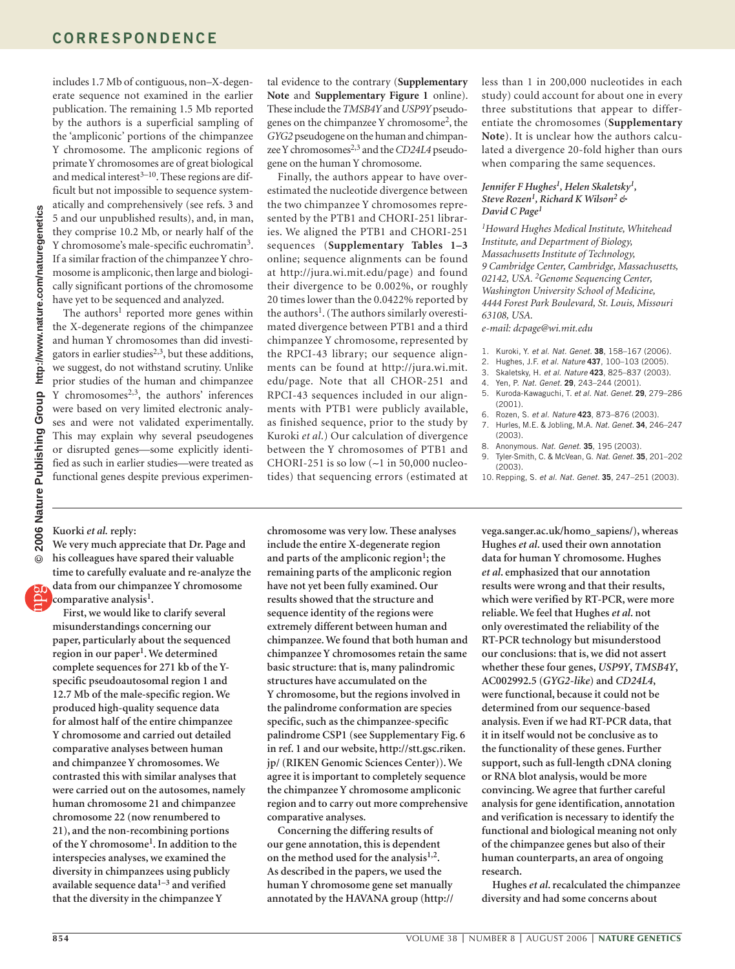includes 1.7 Mb of contiguous, non–X-degen-

erate sequence not examined in the earlier publication. The remaining 1.5 Mb reported by the authors is a superficial sampling of the 'ampliconic' portions of the chimpanzee Y chromosome. The ampliconic regions of primate Y chromosomes are of great biological and medical interest $3-10$ . These regions are difficult but not impossible to sequence systematically and comprehensively (see refs. 3 and 5 and our unpublished results), and, in man, they comprise 10.2 Mb, or nearly half of the Y chromosome's male-specific euchromatin<sup>3</sup>. If a similar fraction of the chimpanzee Y chromosome is ampliconic, then large and biologically significant portions of the chromosome have yet to be sequenced and analyzed. The authors<sup>1</sup> reported more genes within

the X-degenerate regions of the chimpanzee and human Y chromosomes than did investigators in earlier studies<sup>2,3</sup>, but these additions, we suggest, do not withstand scrutiny. Unlike prior studies of the human and chimpanzee Y chromosomes<sup>2,3</sup>, the authors' inferences were based on very limited electronic analyses and were not validated experimentally. This may explain why several pseudogenes or disrupted genes—some explicitly identified as such in earlier studies—were treated as functional genes despite previous experimen-

tal evidence to the contrary (**Supplementary Note** and **Supplementary Figure 1** online). These include the *TMSB4Y* and *USP9Y* pseudogenes on the chimpanzee Y chromosome2, the *GYG2* pseudogene on the human and chimpanzee Y chromosomes<sup>2,3</sup> and the *CD24L4* pseudogene on the human Y chromosome.

Finally, the authors appear to have overestimated the nucleotide divergence between the two chimpanzee Y chromosomes represented by the PTB1 and CHORI-251 libraries. We aligned the PTB1 and CHORI-251 sequences (**Supplementary Tables 1–3**  online; sequence alignments can be found at http://jura.wi.mit.edu/page) and found their divergence to be 0.002%, or roughly 20 times lower than the 0.0422% reported by the authors<sup>1</sup>. (The authors similarly overestimated divergence between PTB1 and a third chimpanzee Y chromosome, represented by the RPCI-43 library; our sequence alignments can be found at http://jura.wi.mit. edu/page. Note that all CHOR-251 and RPCI-43 sequences included in our alignments with PTB1 were publicly available, as finished sequence, prior to the study by Kuroki *et al*.) Our calculation of divergence between the Y chromosomes of PTB1 and CHORI-251 is so low (∼1 in 50,000 nucleotides) that sequencing errors (estimated at less than 1 in 200,000 nucleotides in each study) could account for about one in every three substitutions that appear to differentiate the chromosomes (**Supplementary Note**). It is unclear how the authors calculated a divergence 20-fold higher than ours when comparing the same sequences.

#### *Jennifer F Hughes1, Helen Skaletsky1, Steve Rozen1, Richard K Wilson2 & David C Page1*

*1Howard Hughes Medical Institute, Whitehead Institute, and Department of Biology, Massachusetts Institute of Technology, 9 Cambridge Center, Cambridge, Massachusetts, 02142, USA. 2Genome Sequencing Center, Washington University School of Medicine, 4444 Forest Park Boulevard, St. Louis, Missouri 63108, USA.*

*e-mail: dcpage@wi.mit.edu*

- 1. Kuroki, Y. et al. Nat. Genet. **38**, 158–167 (2006).
- 2. Hughes, J.F. et al. Nature **437**, 100–103 (2005).
- 3. Skaletsky, H. et al. Nature **423**, 825–837 (2003).
- 4. Yen, P. Nat. Genet. **29**, 243–244 (2001).
- 5. Kuroda-Kawaguchi, T. et al. Nat. Genet. **29**, 279–286 (2001).
- 6. Rozen, S. et al. Nature **423**, 873–876 (2003).
- 7. Hurles, M.E. & Jobling, M.A. Nat. Genet. **34**, 246–247 (2003).
- 8. Anonymous. Nat. Genet. **35**, 195 (2003).
- 9. Tyler-Smith, C. & McVean, G. Nat. Genet. **35**, 201–202  $(2003)$
- 10. Repping, S. et al. Nat. Genet. **35**, 247–251 (2003).

### **Kuorki** *et al.* **reply:**

**We very much appreciate that Dr. Page and his colleagues have spared their valuable time to carefully evaluate and re-analyze the data from our chimpanzee Y chromosome** 

**comparative analysis1.**

**First, we would like to clarify several misunderstandings concerning our paper, particularly about the sequenced region in our paper1. We determined complete sequences for 271 kb of the Yspecific pseudoautosomal region 1 and 12.7 Mb of the male-specific region. We produced high-quality sequence data for almost half of the entire chimpanzee Y chromosome and carried out detailed comparative analyses between human and chimpanzee Y chromosomes. We contrasted this with similar analyses that were carried out on the autosomes, namely human chromosome 21 and chimpanzee chromosome 22 (now renumbered to 21), and the non-recombining portions of the Y chromosome1. In addition to the interspecies analyses, we examined the diversity in chimpanzees using publicly available sequence data1–3 and verified that the diversity in the chimpanzee Y** 

**chromosome was very low. These analyses include the entire X-degenerate region**  and parts of the ampliconic region<sup>1</sup>; the **remaining parts of the ampliconic region have not yet been fully examined. Our results showed that the structure and sequence identity of the regions were extremely different between human and chimpanzee. We found that both human and chimpanzee Y chromosomes retain the same basic structure: that is, many palindromic structures have accumulated on the Y chromosome, but the regions involved in the palindrome conformation are species specific, such as the chimpanzee-specific palindrome CSP1 (see Supplementary Fig. 6 in ref. 1 and our website, http://stt.gsc.riken. jp/ (RIKEN Genomic Sciences Center)). We agree it is important to completely sequence the chimpanzee Y chromosome ampliconic region and to carry out more comprehensive comparative analyses.**

**Concerning the differing results of our gene annotation, this is dependent on the method used for the analysis1,2. As described in the papers, we used the human Y chromosome gene set manually annotated by the HAVANA group (http://**

**vega.sanger.ac.uk/homo\_sapiens/), whereas Hughes** *et al***. used their own annotation data for human Y chromosome. Hughes**  *et al***. emphasized that our annotation results were wrong and that their results, which were verified by RT-PCR, were more reliable. We feel that Hughes** *et al***. not only overestimated the reliability of the RT-PCR technology but misunderstood our conclusions: that is, we did not assert whether these four genes,** *USP9Y***,** *TMSB4Y***, AC002992.5 (***GYG2-like***) and** *CD24L4***, were functional, because it could not be determined from our sequence-based analysis. Even if we had RT-PCR data, that it in itself would not be conclusive as to the functionality of these genes. Further support, such as full-length cDNA cloning or RNA blot analysis, would be more convincing. We agree that further careful analysis for gene identification, annotation and verification is necessary to identify the functional and biological meaning not only of the chimpanzee genes but also of their human counterparts, an area of ongoing research.**

**Hughes** *et al***. recalculated the chimpanzee diversity and had some concerns about**